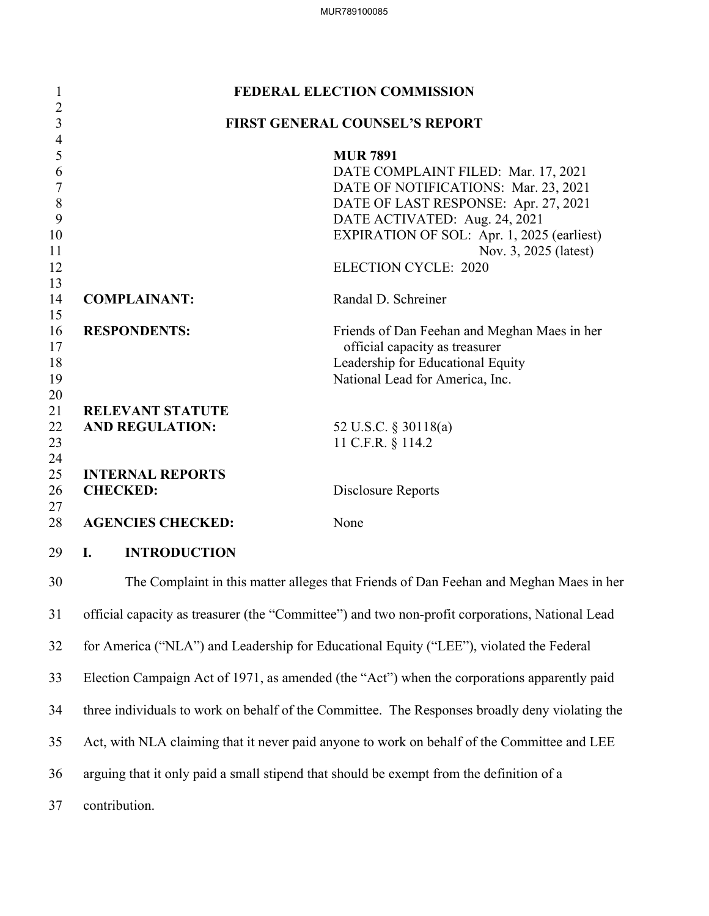| $\mathbf{1}$                     | FEDERAL ELECTION COMMISSION                                                                     |                                                                             |  |  |
|----------------------------------|-------------------------------------------------------------------------------------------------|-----------------------------------------------------------------------------|--|--|
| $\overline{2}$<br>$\mathfrak{Z}$ | <b>FIRST GENERAL COUNSEL'S REPORT</b>                                                           |                                                                             |  |  |
| $\overline{4}$                   |                                                                                                 |                                                                             |  |  |
| 5                                |                                                                                                 | <b>MUR 7891</b>                                                             |  |  |
| 6<br>7                           |                                                                                                 | DATE COMPLAINT FILED: Mar. 17, 2021<br>DATE OF NOTIFICATIONS: Mar. 23, 2021 |  |  |
| 8                                |                                                                                                 | DATE OF LAST RESPONSE: Apr. 27, 2021                                        |  |  |
| 9                                |                                                                                                 | DATE ACTIVATED: Aug. 24, 2021                                               |  |  |
| 10                               |                                                                                                 | EXPIRATION OF SOL: Apr. 1, 2025 (earliest)                                  |  |  |
| 11                               |                                                                                                 | Nov. 3, 2025 (latest)                                                       |  |  |
| 12                               |                                                                                                 | <b>ELECTION CYCLE: 2020</b>                                                 |  |  |
| 13<br>14<br>15                   | <b>COMPLAINANT:</b>                                                                             | Randal D. Schreiner                                                         |  |  |
| 16                               | <b>RESPONDENTS:</b>                                                                             | Friends of Dan Feehan and Meghan Maes in her                                |  |  |
| 17                               |                                                                                                 | official capacity as treasurer                                              |  |  |
| 18                               |                                                                                                 | Leadership for Educational Equity                                           |  |  |
| 19                               |                                                                                                 | National Lead for America, Inc.                                             |  |  |
| 20                               |                                                                                                 |                                                                             |  |  |
| 21                               | <b>RELEVANT STATUTE</b>                                                                         |                                                                             |  |  |
| 22<br>23                         | <b>AND REGULATION:</b>                                                                          | 52 U.S.C. § 30118(a)                                                        |  |  |
| 24                               |                                                                                                 | 11 C.F.R. § 114.2                                                           |  |  |
| 25                               | <b>INTERNAL REPORTS</b>                                                                         |                                                                             |  |  |
| 26                               | <b>CHECKED:</b>                                                                                 | Disclosure Reports                                                          |  |  |
| 27                               |                                                                                                 |                                                                             |  |  |
| 28                               | <b>AGENCIES CHECKED:</b>                                                                        | None                                                                        |  |  |
| 29                               | <b>INTRODUCTION</b><br>I.                                                                       |                                                                             |  |  |
| 30                               | The Complaint in this matter alleges that Friends of Dan Feehan and Meghan Maes in her          |                                                                             |  |  |
| 31                               | official capacity as treasurer (the "Committee") and two non-profit corporations, National Lead |                                                                             |  |  |
| 32                               | for America ("NLA") and Leadership for Educational Equity ("LEE"), violated the Federal         |                                                                             |  |  |
| 33                               | Election Campaign Act of 1971, as amended (the "Act") when the corporations apparently paid     |                                                                             |  |  |
| 34                               | three individuals to work on behalf of the Committee. The Responses broadly deny violating the  |                                                                             |  |  |
| 35                               | Act, with NLA claiming that it never paid anyone to work on behalf of the Committee and LEE     |                                                                             |  |  |
| 36                               | arguing that it only paid a small stipend that should be exempt from the definition of a        |                                                                             |  |  |
| 37                               | contribution.                                                                                   |                                                                             |  |  |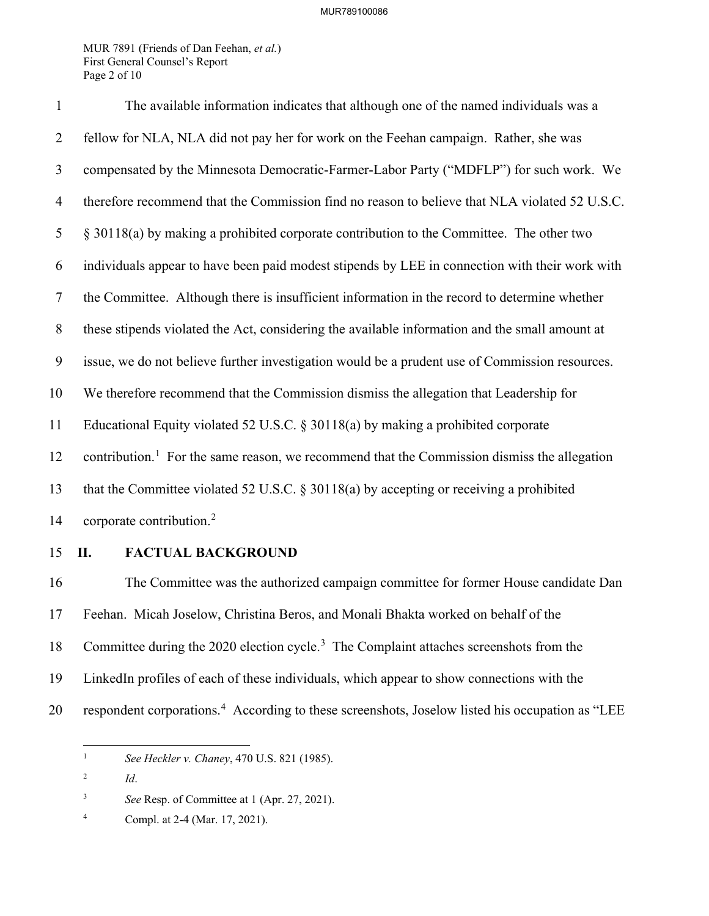MUR 7891 (Friends of Dan Feehan, *et al.*) First General Counsel's Report Page 2 of 10

| $\mathbf{1}$   | The available information indicates that although one of the named individuals was a                    |  |  |
|----------------|---------------------------------------------------------------------------------------------------------|--|--|
| 2              | fellow for NLA, NLA did not pay her for work on the Feehan campaign. Rather, she was                    |  |  |
| 3              | compensated by the Minnesota Democratic-Farmer-Labor Party ("MDFLP") for such work. We                  |  |  |
| 4              | therefore recommend that the Commission find no reason to believe that NLA violated 52 U.S.C.           |  |  |
| 5              | § 30118(a) by making a prohibited corporate contribution to the Committee. The other two                |  |  |
| 6              | individuals appear to have been paid modest stipends by LEE in connection with their work with          |  |  |
| $\overline{7}$ | the Committee. Although there is insufficient information in the record to determine whether            |  |  |
| 8              | these stipends violated the Act, considering the available information and the small amount at          |  |  |
| 9              | issue, we do not believe further investigation would be a prudent use of Commission resources.          |  |  |
| 10             | We therefore recommend that the Commission dismiss the allegation that Leadership for                   |  |  |
| 11             | Educational Equity violated 52 U.S.C. $\S 30118(a)$ by making a prohibited corporate                    |  |  |
| 12             | contribution. <sup>1</sup> For the same reason, we recommend that the Commission dismiss the allegation |  |  |
| 13             | that the Committee violated 52 U.S.C. $\S 30118(a)$ by accepting or receiving a prohibited              |  |  |
| 14             | corporate contribution. <sup>2</sup>                                                                    |  |  |

### 15 **II. FACTUAL BACKGROUND**

16 The Committee was the authorized campaign committee for former House candidate Dan 17 Feehan. Micah Joselow, Christina Beros, and Monali Bhakta worked on behalf of the 18 Committee during the 2020 election cycle.<sup>[3](#page-1-2)</sup> The Complaint attaches screenshots from the 19 LinkedIn profiles of each of these individuals, which appear to show connections with the 20 respondent corporations.<sup>[4](#page-1-3)</sup> According to these screenshots, Joselow listed his occupation as "LEE

<span id="page-1-0"></span><sup>1</sup> *See Heckler v. Chaney*, 470 U.S. 821 (1985).

<span id="page-1-1"></span><sup>2</sup> *Id*.

<span id="page-1-2"></span><sup>3</sup> *See* Resp. of Committee at 1 (Apr. 27, 2021).

<span id="page-1-3"></span><sup>4</sup> Compl. at 2-4 (Mar. 17, 2021).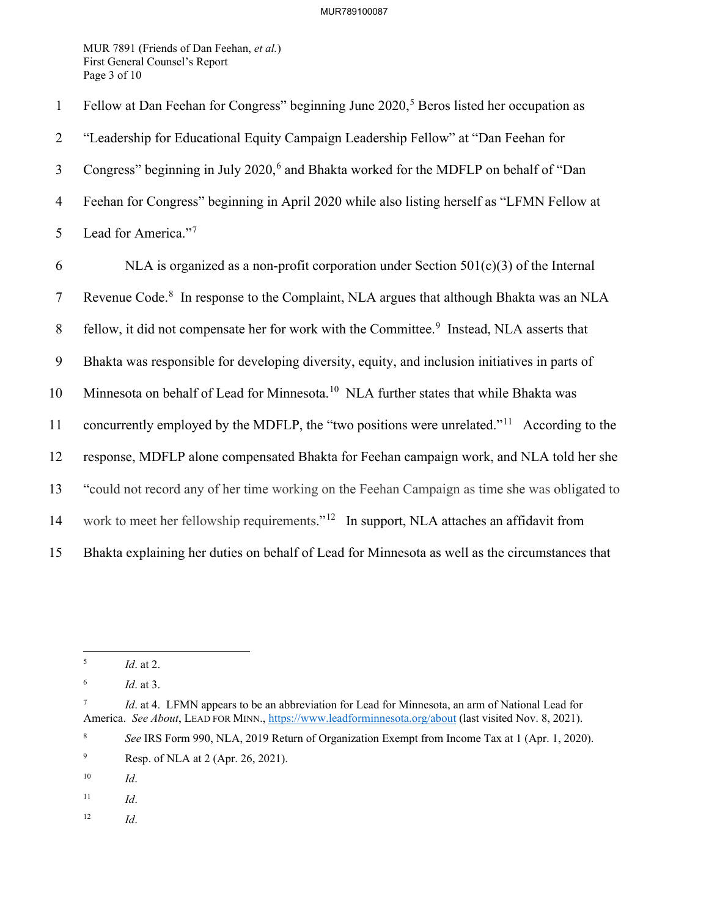MUR 7891 (Friends of Dan Feehan, *et al.*) First General Counsel's Report Page 3 of 10

1 Fellow at Dan Feehan for Congress" beginning June  $2020$ ,<sup>[5](#page-2-0)</sup> Beros listed her occupation as 2 "Leadership for Educational Equity Campaign Leadership Fellow" at "Dan Feehan for 3 Congress" beginning in July 2020,<sup>[6](#page-2-1)</sup> and Bhakta worked for the MDFLP on behalf of "Dan 4 Feehan for Congress" beginning in April 2020 while also listing herself as "LFMN Fellow at 5 Lead for America."<sup>[7](#page-2-2)</sup> 6 NLA is organized as a non-profit corporation under Section  $501(c)(3)$  of the Internal 7 Revenue Code.<sup>[8](#page-2-3)</sup> In response to the Complaint, NLA argues that although Bhakta was an NLA 8 fellow, it did not compensate her for work with the Committee.<sup>9</sup> Instead, NLA asserts that 9 Bhakta was responsible for developing diversity, equity, and inclusion initiatives in parts of [10](#page-2-5) Minnesota on behalf of Lead for Minnesota.<sup>10</sup> NLA further states that while Bhakta was [11](#page-2-6) concurrently employed by the MDFLP, the "two positions were unrelated."<sup>11</sup> According to the 12 response, MDFLP alone compensated Bhakta for Feehan campaign work, and NLA told her she 13 "could not record any of her time working on the Feehan Campaign as time she was obligated to 14 work to meet her fellowship requirements."<sup>[12](#page-2-7)</sup> In support, NLA attaches an affidavit from 15 Bhakta explaining her duties on behalf of Lead for Minnesota as well as the circumstances that

- <span id="page-2-5"></span>10 *Id*.
- <span id="page-2-6"></span>11 *Id*.
- <span id="page-2-7"></span>12 *Id*.

<span id="page-2-0"></span><sup>5</sup> *Id*. at 2.

<span id="page-2-1"></span><sup>6</sup> *Id*. at 3.

<span id="page-2-2"></span><sup>7</sup> *Id.* at 4. LFMN appears to be an abbreviation for Lead for Minnesota, an arm of National Lead for America. *See About*, LEAD FOR MINN.,<https://www.leadforminnesota.org/about> (last visited Nov. 8, 2021).

<span id="page-2-3"></span><sup>8</sup> *See* IRS Form 990, NLA, 2019 Return of Organization Exempt from Income Tax at 1 (Apr. 1, 2020).

<span id="page-2-4"></span><sup>9</sup> Resp. of NLA at 2 (Apr. 26, 2021).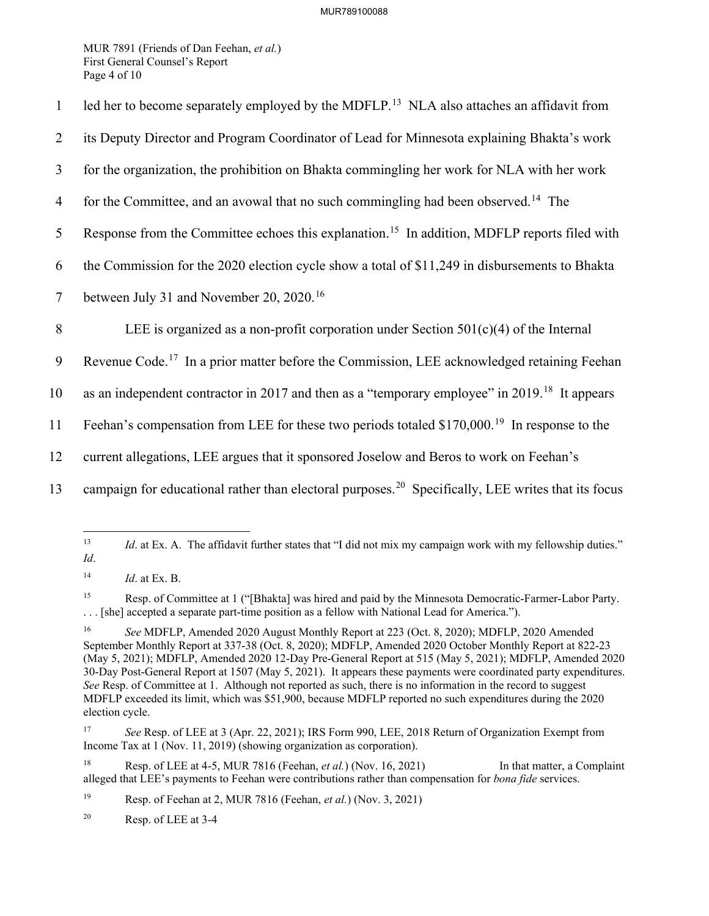MUR 7891 (Friends of Dan Feehan, *et al.*) First General Counsel's Report Page 4 of 10

| $\mathbf{1}$   | led her to become separately employed by the MDFLP. <sup>13</sup> NLA also attaches an affidavit from          |
|----------------|----------------------------------------------------------------------------------------------------------------|
| 2              | its Deputy Director and Program Coordinator of Lead for Minnesota explaining Bhakta's work                     |
| 3              | for the organization, the prohibition on Bhakta commingling her work for NLA with her work                     |
| $\overline{4}$ | for the Committee, and an avowal that no such commingling had been observed. <sup>14</sup> The                 |
| 5              | Response from the Committee echoes this explanation. <sup>15</sup> In addition, MDFLP reports filed with       |
| 6              | the Commission for the 2020 election cycle show a total of \$11,249 in disbursements to Bhakta                 |
| $\tau$         | between July 31 and November 20, 2020. <sup>16</sup>                                                           |
| 8              | LEE is organized as a non-profit corporation under Section $501(c)(4)$ of the Internal                         |
| 9              | Revenue Code. <sup>17</sup> In a prior matter before the Commission, LEE acknowledged retaining Feehan         |
| 10             | as an independent contractor in 2017 and then as a "temporary employee" in 2019. <sup>18</sup> It appears      |
| 11             | Feehan's compensation from LEE for these two periods totaled \$170,000. <sup>19</sup> In response to the       |
| 12             | current allegations, LEE argues that it sponsored Joselow and Beros to work on Feehan's                        |
| 13             | campaign for educational rather than electoral purposes. <sup>20</sup> Specifically, LEE writes that its focus |

<span id="page-3-0"></span><sup>&</sup>lt;sup>13</sup> *Id.* at Ex. A. The affidavit further states that "I did not mix my campaign work with my fellowship duties." *Id*.

<span id="page-3-2"></span>15 Resp. of Committee at 1 ("[Bhakta] was hired and paid by the Minnesota Democratic-Farmer-Labor Party. . . . [she] accepted a separate part-time position as a fellow with National Lead for America.").

<span id="page-3-5"></span><sup>18</sup> Resp. of LEE at 4-5, MUR 7816 (Feehan, *et al.*) (Nov. 16, 2021) In that matter, a Complaint alleged that LEE's payments to Feehan were contributions rather than compensation for *bona fide* services.

<span id="page-3-6"></span>19 Resp. of Feehan at 2, MUR 7816 (Feehan, *et al.*) (Nov. 3, 2021)

<span id="page-3-7"></span>20 Resp. of LEE at 3-4

<span id="page-3-1"></span><sup>14</sup> *Id*. at Ex. B.

<span id="page-3-3"></span><sup>16</sup> *See* MDFLP, Amended 2020 August Monthly Report at 223 (Oct. 8, 2020); MDFLP, 2020 Amended September Monthly Report at 337-38 (Oct. 8, 2020); MDFLP, Amended 2020 October Monthly Report at 822-23 (May 5, 2021); MDFLP, Amended 2020 12-Day Pre-General Report at 515 (May 5, 2021); MDFLP, Amended 2020 30-Day Post-General Report at 1507 (May 5, 2021). It appears these payments were coordinated party expenditures. *See* Resp. of Committee at 1. Although not reported as such, there is no information in the record to suggest MDFLP exceeded its limit, which was \$51,900, because MDFLP reported no such expenditures during the 2020 election cycle.

<span id="page-3-4"></span><sup>17</sup> *See* Resp. of LEE at 3 (Apr. 22, 2021); IRS Form 990, LEE, 2018 Return of Organization Exempt from Income Tax at 1 (Nov. 11, 2019) (showing organization as corporation).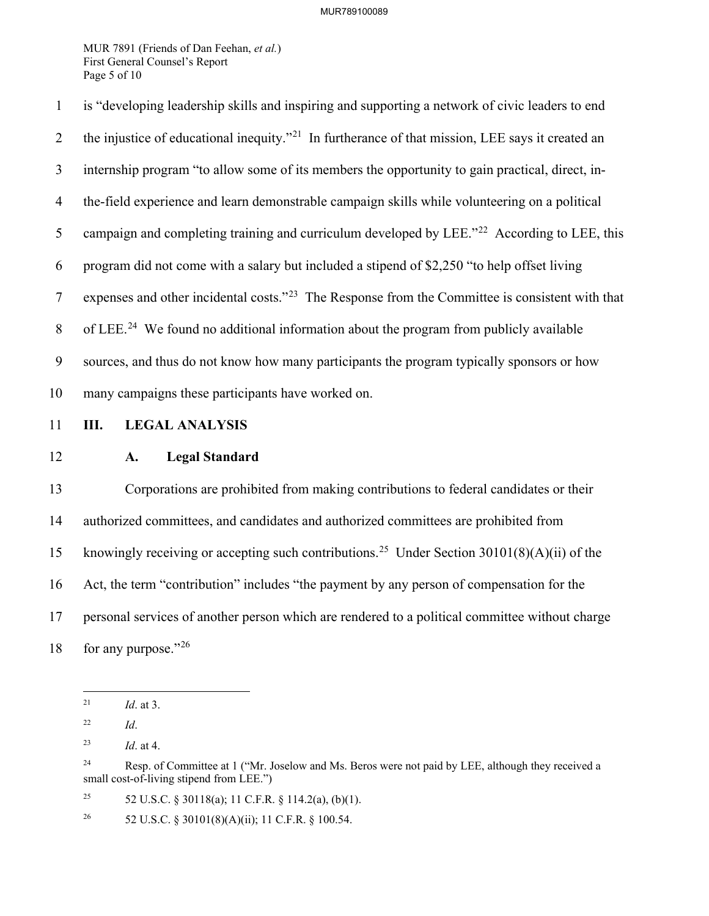MUR 7891 (Friends of Dan Feehan, *et al.*) First General Counsel's Report Page 5 of 10

1 is "developing leadership skills and inspiring and supporting a network of civic leaders to end 2 the injustice of educational inequity. $^{221}$  $^{221}$  $^{221}$  In furtherance of that mission, LEE says it created an 3 internship program "to allow some of its members the opportunity to gain practical, direct, in-4 the-field experience and learn demonstrable campaign skills while volunteering on a political 5 campaign and completing training and curriculum developed by LEE."<sup>[22](#page-4-1)</sup> According to LEE, this 6 program did not come with a salary but included a stipend of \$2,250 "to help offset living 7 expenses and other incidental costs."<sup>23</sup> The Response from the Committee is consistent with that 8 of LEE.<sup>24</sup> We found no additional information about the program from publicly available 9 sources, and thus do not know how many participants the program typically sponsors or how 10 many campaigns these participants have worked on.

## 11 **III. LEGAL ANALYSIS**

### 12 **A. Legal Standard**

13 Corporations are prohibited from making contributions to federal candidates or their 14 authorized committees, and candidates and authorized committees are prohibited from 15 knowingly receiving or accepting such contributions.<sup>[25](#page-4-4)</sup> Under Section 30101(8)(A)(ii) of the 16 Act, the term "contribution" includes "the payment by any person of compensation for the 17 personal services of another person which are rendered to a political committee without charge 18 for any purpose."  $26$ 

<span id="page-4-4"></span><sup>25</sup> 52 U.S.C. § 30118(a); 11 C.F.R. § 114.2(a), (b)(1).

<span id="page-4-5"></span><sup>26</sup> 52 U.S.C. § 30101(8)(A)(ii); 11 C.F.R. § 100.54.

<span id="page-4-0"></span><sup>21</sup> *Id*. at 3.

<span id="page-4-1"></span><sup>22</sup> *Id*.

<span id="page-4-2"></span><sup>23</sup> *Id*. at 4.

<span id="page-4-3"></span><sup>&</sup>lt;sup>24</sup> Resp. of Committee at 1 ("Mr. Joselow and Ms. Beros were not paid by LEE, although they received a small cost-of-living stipend from LEE.")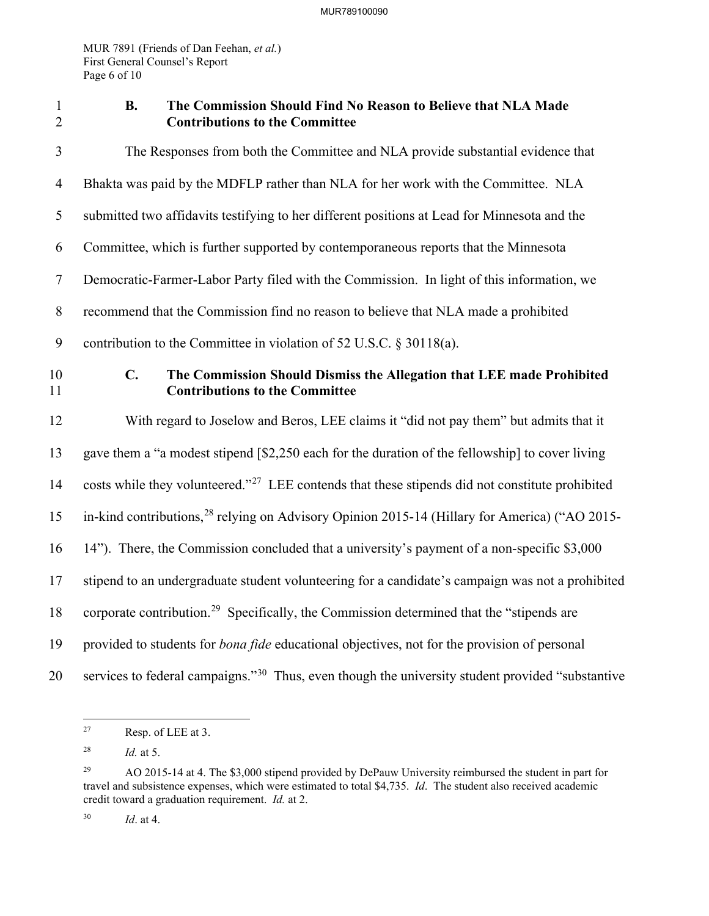MUR 7891 (Friends of Dan Feehan, *et al.*) First General Counsel's Report Page 6 of 10

# 1 **B. The Commission Should Find No Reason to Believe that NLA Made**  2 **Contributions to the Committee**

| $\mathfrak{Z}$ | The Responses from both the Committee and NLA provide substantial evidence that                                      |  |
|----------------|----------------------------------------------------------------------------------------------------------------------|--|
| $\overline{4}$ | Bhakta was paid by the MDFLP rather than NLA for her work with the Committee. NLA                                    |  |
| 5              | submitted two affidavits testifying to her different positions at Lead for Minnesota and the                         |  |
| 6              | Committee, which is further supported by contemporaneous reports that the Minnesota                                  |  |
| $\tau$         | Democratic-Farmer-Labor Party filed with the Commission. In light of this information, we                            |  |
| 8              | recommend that the Commission find no reason to believe that NLA made a prohibited                                   |  |
| 9              | contribution to the Committee in violation of 52 U.S.C. $\S 30118(a)$ .                                              |  |
| 10<br>11       | C.<br>The Commission Should Dismiss the Allegation that LEE made Prohibited<br><b>Contributions to the Committee</b> |  |
| 12             | With regard to Joselow and Beros, LEE claims it "did not pay them" but admits that it                                |  |
| 13             | gave them a "a modest stipend [\$2,250 each for the duration of the fellowship] to cover living                      |  |
| 14             | costs while they volunteered." <sup>27</sup> LEE contends that these stipends did not constitute prohibited          |  |
| 15             | in-kind contributions, <sup>28</sup> relying on Advisory Opinion 2015-14 (Hillary for America) ("AO 2015-            |  |
| 16             | 14"). There, the Commission concluded that a university's payment of a non-specific \$3,000                          |  |
| 17             | stipend to an undergraduate student volunteering for a candidate's campaign was not a prohibited                     |  |
| 18             | corporate contribution. <sup>29</sup> Specifically, the Commission determined that the "stipends are                 |  |
| 19             | provided to students for <i>bona fide</i> educational objectives, not for the provision of personal                  |  |
| 20             | services to federal campaigns." <sup>30</sup> Thus, even though the university student provided "substantive"        |  |

<span id="page-5-0"></span><sup>27</sup> Resp. of LEE at 3.

<span id="page-5-1"></span><sup>28</sup> *Id.* at 5.

<span id="page-5-2"></span><sup>29</sup> AO 2015-14 at 4. The \$3,000 stipend provided by DePauw University reimbursed the student in part for travel and subsistence expenses, which were estimated to total \$4,735. *Id*. The student also received academic credit toward a graduation requirement. *Id.* at 2.

<span id="page-5-3"></span><sup>30</sup> *Id*. at 4.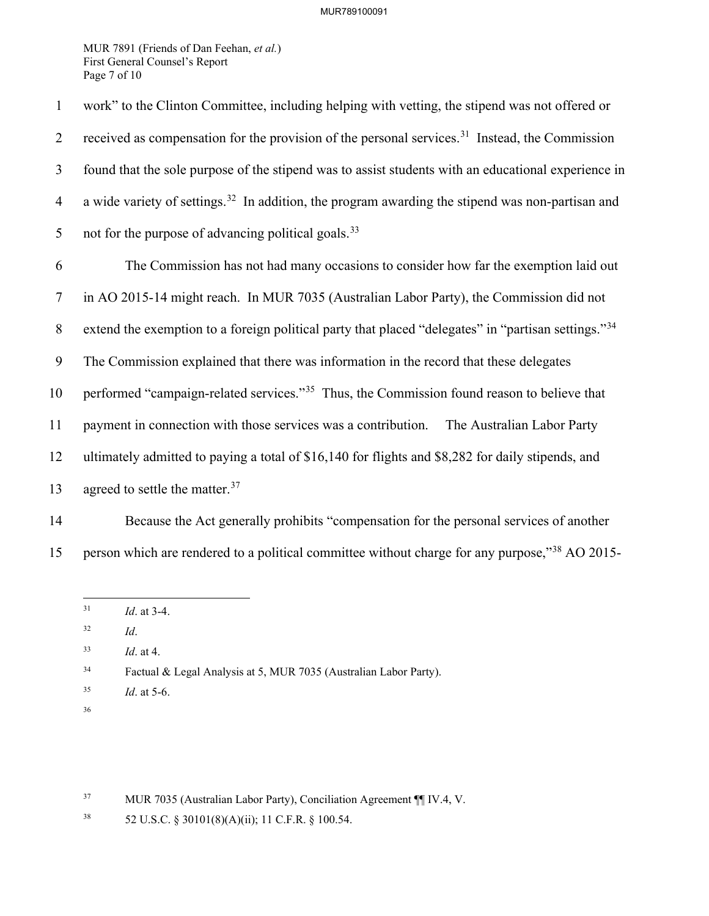MUR 7891 (Friends of Dan Feehan, *et al.*) First General Counsel's Report Page 7 of 10

| $\mathbf{1}$   | work" to the Clinton Committee, including helping with vetting, the stipend was not offered or                  |  |  |  |
|----------------|-----------------------------------------------------------------------------------------------------------------|--|--|--|
| 2              | received as compensation for the provision of the personal services. <sup>31</sup> Instead, the Commission      |  |  |  |
| 3              | found that the sole purpose of the stipend was to assist students with an educational experience in             |  |  |  |
| $\overline{4}$ | a wide variety of settings. <sup>32</sup> In addition, the program awarding the stipend was non-partisan and    |  |  |  |
| 5              | not for the purpose of advancing political goals. <sup>33</sup>                                                 |  |  |  |
| 6              | The Commission has not had many occasions to consider how far the exemption laid out                            |  |  |  |
| $\tau$         | in AO 2015-14 might reach. In MUR 7035 (Australian Labor Party), the Commission did not                         |  |  |  |
| 8              | extend the exemption to a foreign political party that placed "delegates" in "partisan settings." <sup>34</sup> |  |  |  |
| 9              | The Commission explained that there was information in the record that these delegates                          |  |  |  |
| 10             | performed "campaign-related services." <sup>35</sup> Thus, the Commission found reason to believe that          |  |  |  |
| 11             | payment in connection with those services was a contribution.<br>The Australian Labor Party                     |  |  |  |
| 12             | ultimately admitted to paying a total of \$16,140 for flights and \$8,282 for daily stipends, and               |  |  |  |
| 13             | agreed to settle the matter. <sup>37</sup>                                                                      |  |  |  |
| 14             | Because the Act generally prohibits "compensation for the personal services of another                          |  |  |  |

<span id="page-6-0"></span>15 person which are rendered to a political committee without charge for any purpose,"<sup>[38](#page-6-6)</sup> AO 2015-

- <span id="page-6-1"></span>32 *Id*.
- <span id="page-6-2"></span>33 *Id*. at 4.

- <span id="page-6-4"></span>35 *Id*. at 5-6.
- 36

<span id="page-6-5"></span>37 MUR 7035 (Australian Labor Party), Conciliation Agreement ¶¶ IV.4, V.

<sup>31</sup> *Id*. at 3-4.

<span id="page-6-3"></span><sup>34</sup> Factual & Legal Analysis at 5, MUR 7035 (Australian Labor Party).

<span id="page-6-6"></span><sup>38 52</sup> U.S.C. § 30101(8)(A)(ii); 11 C.F.R. § 100.54.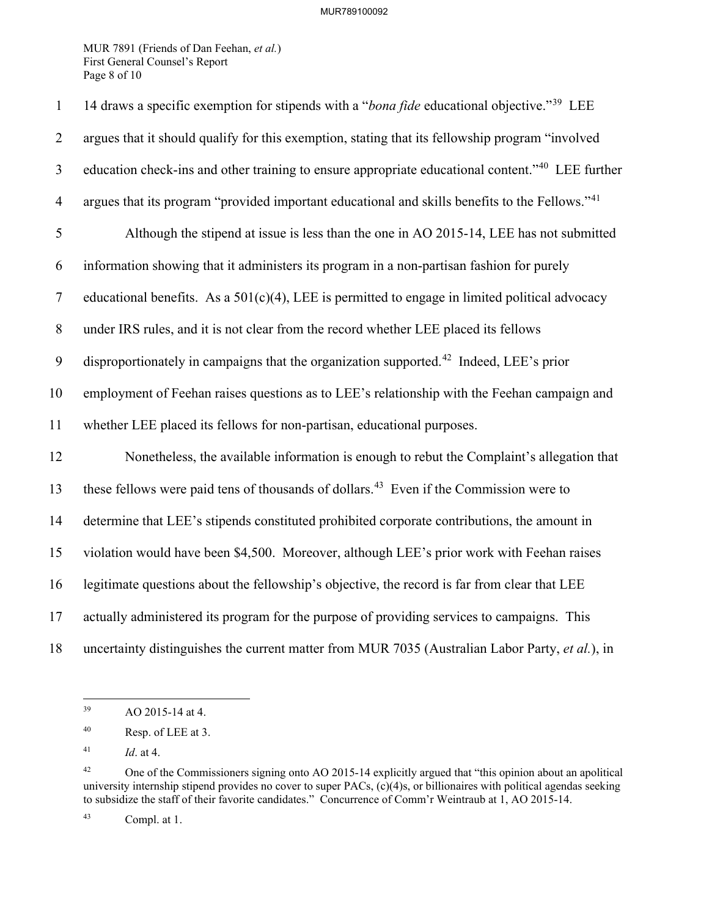MUR 7891 (Friends of Dan Feehan, *et al.*) First General Counsel's Report Page 8 of 10

| $\mathbf{1}$   | 14 draws a specific exemption for stipends with a "bona fide educational objective." <sup>39</sup> LEE       |
|----------------|--------------------------------------------------------------------------------------------------------------|
| $\overline{2}$ | argues that it should qualify for this exemption, stating that its fellowship program "involved              |
| $\mathfrak{Z}$ | education check-ins and other training to ensure appropriate educational content." <sup>40</sup> LEE further |
| $\overline{4}$ | argues that its program "provided important educational and skills benefits to the Fellows." <sup>41</sup>   |
| 5              | Although the stipend at issue is less than the one in AO 2015-14, LEE has not submitted                      |
| 6              | information showing that it administers its program in a non-partisan fashion for purely                     |
| $\overline{7}$ | educational benefits. As a $501(c)(4)$ , LEE is permitted to engage in limited political advocacy            |
| $8\phantom{.}$ | under IRS rules, and it is not clear from the record whether LEE placed its fellows                          |
| 9              | disproportionately in campaigns that the organization supported. <sup>42</sup> Indeed, LEE's prior           |
| 10             | employment of Feehan raises questions as to LEE's relationship with the Feehan campaign and                  |
| 11             | whether LEE placed its fellows for non-partisan, educational purposes.                                       |
| 12             | Nonetheless, the available information is enough to rebut the Complaint's allegation that                    |
| 13             | these fellows were paid tens of thousands of dollars. <sup>43</sup> Even if the Commission were to           |
| 14             | determine that LEE's stipends constituted prohibited corporate contributions, the amount in                  |
| 15             | violation would have been \$4,500. Moreover, although LEE's prior work with Feehan raises                    |
| 16             | legitimate questions about the fellowship's objective, the record is far from clear that LEE                 |
| 17             | actually administered its program for the purpose of providing services to campaigns. This                   |
| 18             | uncertainty distinguishes the current matter from MUR 7035 (Australian Labor Party, et al.), in              |

<span id="page-7-0"></span><sup>39</sup> AO 2015-14 at 4.

<span id="page-7-1"></span><sup>40</sup> Resp. of LEE at 3.

<span id="page-7-2"></span><sup>41</sup> *Id*. at 4.

<span id="page-7-3"></span><sup>&</sup>lt;sup>42</sup> One of the Commissioners signing onto AO 2015-14 explicitly argued that "this opinion about an apolitical university internship stipend provides no cover to super PACs, (c)(4)s, or billionaires with political agendas seeking to subsidize the staff of their favorite candidates." Concurrence of Comm'r Weintraub at 1, AO 2015-14.

<span id="page-7-4"></span><sup>43</sup> Compl. at 1.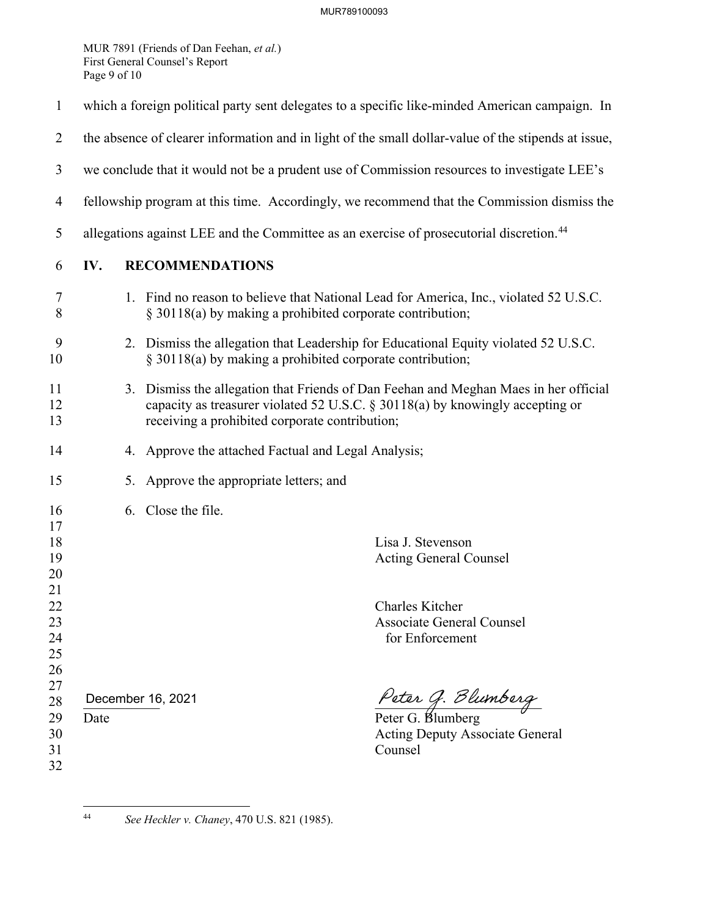MUR 7891 (Friends of Dan Feehan, *et al.*) First General Counsel's Report Page 9 of 10

| $\mathbf{1}$               | which a foreign political party sent delegates to a specific like-minded American campaign. In      |                                                           |                                                                                                                                                                          |
|----------------------------|-----------------------------------------------------------------------------------------------------|-----------------------------------------------------------|--------------------------------------------------------------------------------------------------------------------------------------------------------------------------|
| $\overline{2}$             | the absence of clearer information and in light of the small dollar-value of the stipends at issue, |                                                           |                                                                                                                                                                          |
| 3                          | we conclude that it would not be a prudent use of Commission resources to investigate LEE's         |                                                           |                                                                                                                                                                          |
| $\overline{4}$             | fellowship program at this time. Accordingly, we recommend that the Commission dismiss the          |                                                           |                                                                                                                                                                          |
| 5                          | allegations against LEE and the Committee as an exercise of prosecutorial discretion. <sup>44</sup> |                                                           |                                                                                                                                                                          |
| 6                          | <b>RECOMMENDATIONS</b><br>IV.                                                                       |                                                           |                                                                                                                                                                          |
| 7<br>8                     |                                                                                                     | § 30118(a) by making a prohibited corporate contribution; | 1. Find no reason to believe that National Lead for America, Inc., violated 52 U.S.C.                                                                                    |
| 9<br>10                    |                                                                                                     | § 30118(a) by making a prohibited corporate contribution; | 2. Dismiss the allegation that Leadership for Educational Equity violated 52 U.S.C.                                                                                      |
| 11<br>12<br>13             |                                                                                                     | receiving a prohibited corporate contribution;            | 3. Dismiss the allegation that Friends of Dan Feehan and Meghan Maes in her official<br>capacity as treasurer violated 52 U.S.C. $\S 30118(a)$ by knowingly accepting or |
| 14                         |                                                                                                     | 4. Approve the attached Factual and Legal Analysis;       |                                                                                                                                                                          |
| 15                         |                                                                                                     | Approve the appropriate letters; and<br>5.                |                                                                                                                                                                          |
| 16<br>17                   |                                                                                                     | 6. Close the file.                                        |                                                                                                                                                                          |
| 18<br>19<br>20<br>21       |                                                                                                     |                                                           | Lisa J. Stevenson<br><b>Acting General Counsel</b>                                                                                                                       |
| 22<br>23<br>24<br>25<br>26 |                                                                                                     |                                                           | Charles Kitcher<br><b>Associate General Counsel</b><br>for Enforcement                                                                                                   |
| 27<br>28                   | December 16, 2021                                                                                   |                                                           | Peter G. Blumberg<br>Peter G. Blumberg                                                                                                                                   |
| 29<br>30<br>31<br>32       | Date                                                                                                |                                                           | <b>Acting Deputy Associate General</b><br>Counsel                                                                                                                        |
|                            |                                                                                                     |                                                           |                                                                                                                                                                          |

<span id="page-8-0"></span>

<sup>44</sup> *See Heckler v. Chaney*, 470 U.S. 821 (1985).